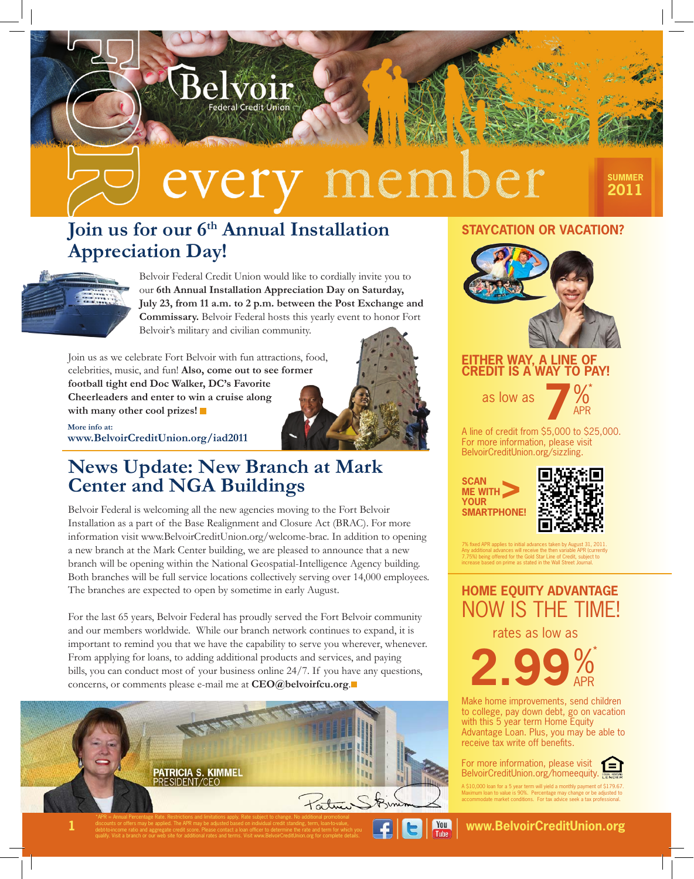# nember ever

# **Join us for our 6<sup>th</sup> Annual Installation Appreciation Day!**

**Federal Credit Union** 



Belvoir Federal Credit Union would like to cordially invite you to our **6th Annual Installation Appreciation Day on Saturday, July 23, from 11 a.m. to 2 p.m. between the Post Exchange and Commissary.** Belvoir Federal hosts this yearly event to honor Fort Belvoir's military and civilian community.

Join us as we celebrate Fort Belvoir with fun attractions, food, celebrities, music, and fun! **Also, come out to see former football tight end Doc Walker, DC's Favorite Cheerleaders and enter to win a cruise along with many other cool prizes!**



# **News Update: New Branch at Mark Center and NGA Buildings**

Belvoir Federal is welcoming all the new agencies moving to the Fort Belvoir Installation as a part of the Base Realignment and Closure Act (BRAC). For more information visit www.BelvoirCreditUnion.org/welcome-brac. In addition to opening a new branch at the Mark Center building, we are pleased to announce that a new branch will be opening within the National Geospatial-Intelligence Agency building. Both branches will be full service locations collectively serving over 14,000 employees. The branches are expected to open by sometime in early August.

For the last 65 years, Belvoir Federal has proudly served the Fort Belvoir community and our members worldwide. While our branch network continues to expand, it is important to remind you that we have the capability to serve you wherever, whenever. From applying for loans, to adding additional products and services, and paying bills, you can conduct most of your business online 24/7. If you have any questions, concerns, or comments please e-mail me at **CEO@belvoirfcu.org**.



# **STAYCATION OR VACATION?**



## **EITHER WAY, A LINE OF CREDIT IS A WAY TO PAY!**

as low as



**SUMMER 2011**

A line of credit from \$5,000 to \$25,000. For more information, please visit BelvoirCreditUnion.org/sizzling.

**SCAN ME WITH YOUR SMARTPHONE! >**



7% fixed APR applies to initial advances taken by August 31, 2011. Any additional advances will receive the then variable APR (currently 7.75%) being offered for the Gold Star Line of Credit, subject to increase based on prime as stated in the Wall Street Journal.

# **HOME EQUITY ADVANTAGE** NOW IS THE TIME!

rates as low as



Make home improvements, send children to college, pay down debt, go on vacation with this 5 year term Home Equity Advantage Loan. Plus, you may be able to receive tax write off benefits.



A \$10,000 loan for a 5 year term will yield a monthly payment of \$179.67. Maximum loan to value is 90%. Percentage may change or be adjusted to accommodate market conditions. For tax advice seek a tax professional.